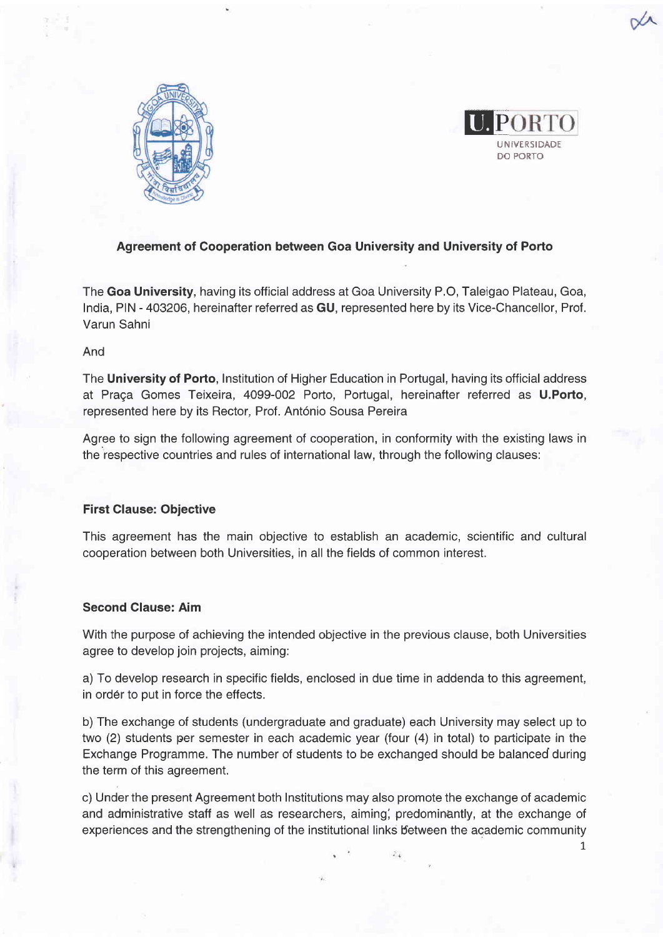



1,

# Agreement of Cooperation between Goa University and University of Porto

The Goa University, having its official address at Goa University P.O, Taleigao Plateau, Goa, lndia, PIN - 403206, hereinafter referred as GU, represented here by its Vice-Chancellor, Prof. Varun Sahni

## And

The University of Porto, Institution of Higher Education in Portugal, having its official address at Praça Gomes Teixeira, 4099-002 Porto, Portugal, hereinafter referred as U.Porto, represented here by its Rector, Prof. António Sousa Pereira

Agree to sign the following agreement of cooperation, in conformity with the existing laws in the respective countries and rules of international law, through the following clauses:

### First Clause: Objective

This agreement has the main objective to establish an academic, scientific and cultural cooperation between both Universities, in all the fields of common interest.

## Second Clause: Aim

With the purpose of achieving the intended objective in the previous clause, both Universities agree to develop join projects, aiming:

a) To develop research in specific fields, enclosed in due time in addenda to this agreement, in order to put in force the effects.

b) The exchange of students (undergraduate and graduate) each University may select up to two (2) students per semester in each academic year (four (4) in total) to participate in the Exchange Programme. The number of students to be exchanged should be balanced during the term of this agreement.

c) Under the present Agreement both Institutions may also promote the exchange of academic and administrative staff as well as researchers, aiming, predominantly, at the exchange of experiences and the strengthening of the institutional links between the academic community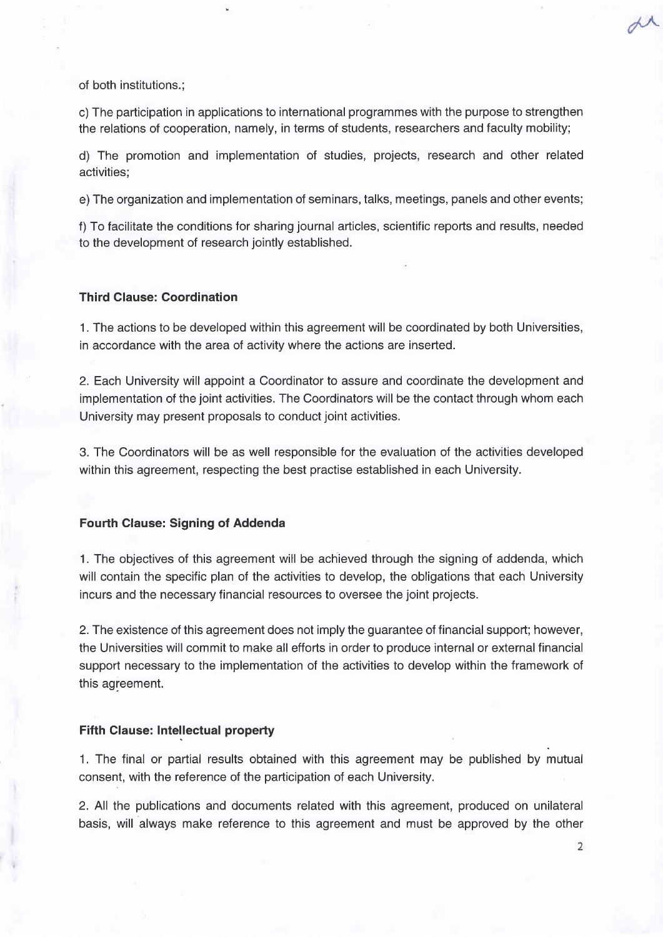of both institutions.;

c) The participation in applications to international programmes with the purpose to strengthen the relations of cooperation, namely, in terms of students, researchers and faculty mobility;

d) The promotion and implementation of studies, projects, research and other related activities;

e)The organization and implementation of seminars, talks, meetings, panels and other events;

f) To facilitate the conditions for sharing journal articles, scientific reports and results, needed to the development of research jointly established.

#### Third Clause: Coordination

'1. The actions to be developed within this agreement will be coordinated by both Universities, in accordance with the area of activity where the actions are inserted.

2. Each University will appoint a Coordinator to assure and coordinate the development and implementation of the joint activities. The Coordinators will be the contact through whom each University may present proposals to conduct joint activities.

3. The Coordinators will be as well responsible for the evaluation of the activities developed within this agreement, respecting the best practise established in each University.

### **Fourth Clause: Signing of Addenda**

1. The objectives of this agreement will be achieved through the signing of addenda, which will contain the specific plan of the activities to develop, the obligations that each University incurs and the necessary financial resources to oversee the joint projects.

2.The existence of this agreement does not imply the guarantee of financial support; however, the Universities will commit to make all efforts in order to produce internal or external financial support necessary to the implementation of the activities to develop within the framework of this agreement.

#### **Fifth Clause: Intellectual property**

1. The final or partial results obtained with this agreement may be published by mutual consent, with the reference of the participation of each University.

2. All the publications and documents related with this agreement, produced on unilateral basis, will always make reference to this agreement and must be approved by the other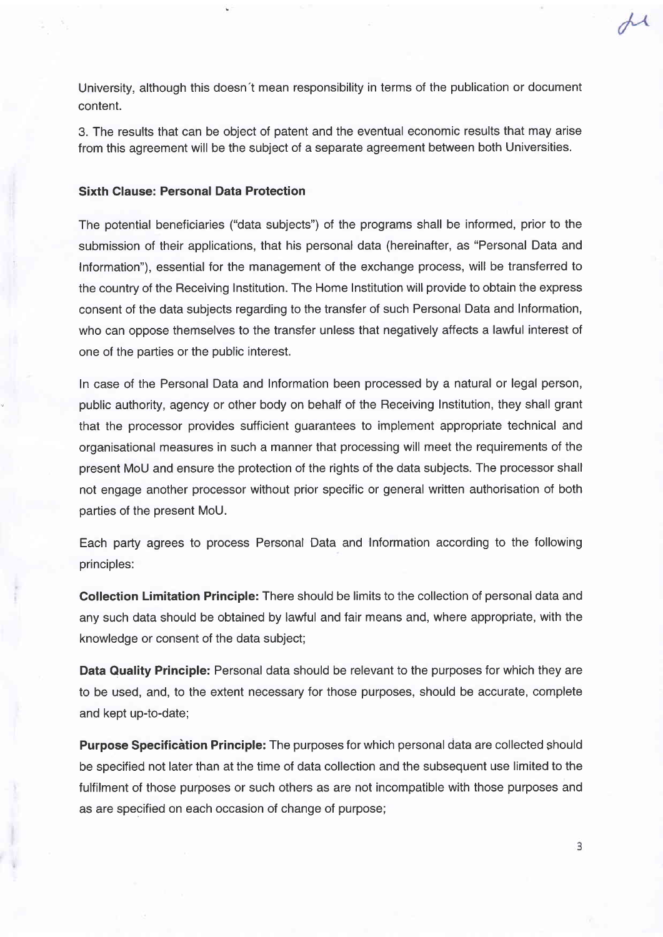University, although this doesn't mean responsibility in terms of the publication or document content.

3. The results that can be object of patent and the eventual economic results that may arise from this agreement will be the subject of a separate agreement between both Universities.

# Sixth Clause: Personal Data Protection

The potential beneficiaries ("data subjects") of the programs shall be informed, prior to the submission of their applications, that his personal data (hereinafter, as "Personal Data and Information"), essential for the management of the exchange process, will be transferred to the country of the Receiving Institution. The Home Institution will provide to obtain the express consent of the data subjects regarding to the transfer of such Personal Data and Information, who can oppose themselves to the transfer unless that negatively affects a lawful interest of one of the parties or the public interest.

In case of the Personal Data and Information been processed by a natural or legal person, public authority, agency or other body on behalf of the Receiving Institution, they shall grant that the processor provides sufficient guarantees to implement appropriate technical and organisational measures in such a manner that processing will meet the requirements of the present MoU and ensure the protection of the rights of the data subjects. The processor shall not engage another processor without prior specific or general written authorisation of both parties of the present MoU.

Each party agrees to process Personal Data and Information according to the following principles:

Collection Limitation Principle: There should be limits to the collection of personal data and any such data should be obtained by lawful and fair means and, where appropriate, with the knowledge or consent of the data subject;

Data Quality Principle: Personal data should be relevant to the purposes for which they are to be used, and, to the extent necessary for those purposes, should be accurate, complete and kept up-to-date;

**Purpose Specification Principle:** The purposes for which personal data are collected should be specified not later than at the time of data collection and the subsequent use limited to the fulfilment of those purposes or such others as are not incompatible with those purposes and as are specified on each occasion of change of purpose;

3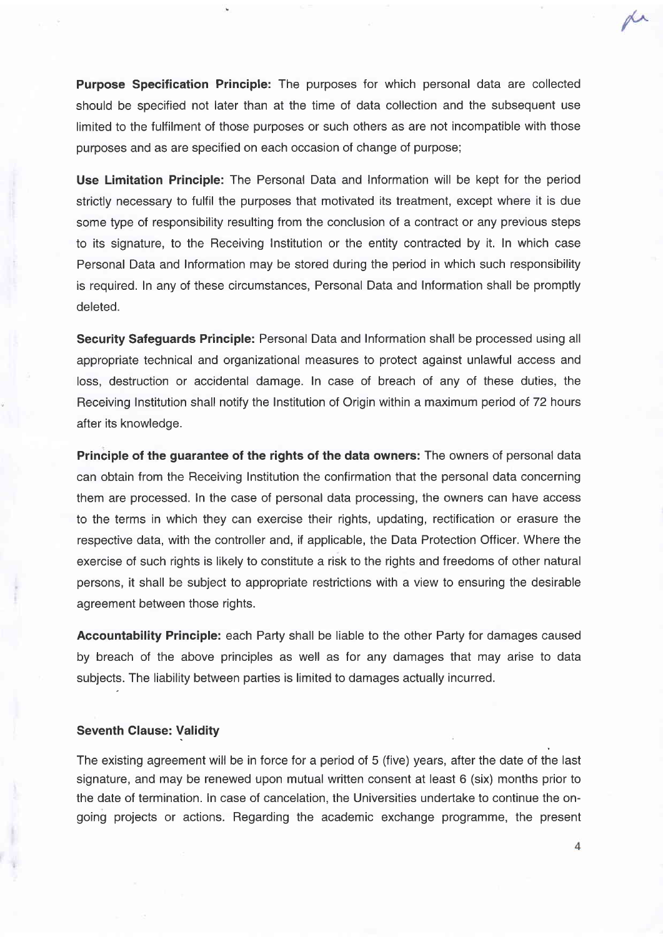Purpose Specification Principle: The purposes for which personal data are collected should be specified not later than at the time of data collection and the subsequent use limited to the fulfilment of those purposes or such others as are not incompatible with those purposes and as are specified on each occasion of change of purpose;

Use Limitation Principle: The Personal Data and Information will be kept for the period strictly necessary to fulfil the purposes that motivated its treatment, except where it is due some type of responsibility resulting from the conclusion of a contract or any previous steps to its signature, to the Receiving Institution or the entity contracted by it. In which case Personal Data and Information may be stored during the period in which such responsibility is required. In any of these circumstances, Personal Data and Information shall be promptly deleted.

Security Safeguards Principle: Personal Data and Information shall be processed using all appropriate technical and organizational measures to protect against unlawful access and loss, destruction or accidental damage. In case of breach of any of these duties, the Receiving Institution shall notify the Institution of Origin within a maximum period of 72 hours after its knowledge.

Principle of the guarantee of the rights of the data owners: The owners of personal data can obtain from the Receiving Institution the confirmation that the personal data concerning them are processed. In the case of personal data processing, the owners can have access to the terms in which they can exercise their rights, updating, rectification or erasure the respective data, with the controller and, if applicable, the Data Protection Officer. Where the exercise of such rights is likely to constitute a risk to the rights and freedoms of other natural persons, it shall be subject to appropriate restrictions with a view to ensuring the desirable agreement between those rights.

Accountability Principle: each Party shall be liable to the other Party for damages caused by breach of the above principles as well as for any damages that may arise to data subjects. The liability between parties is limited to damages actually incurred.

#### Seventh Clause: Validity

The existing agreement will be in force for a period of 5 (five) years, after the date of the last signature, and may be renewed upon mutual written consent at least 6 (six) months prior to the date of termination. In case of cancelation, the Universities undertake to continue the ongoing projects or actions. Regarding the academic exchange programme, the present

 $\overline{4}$